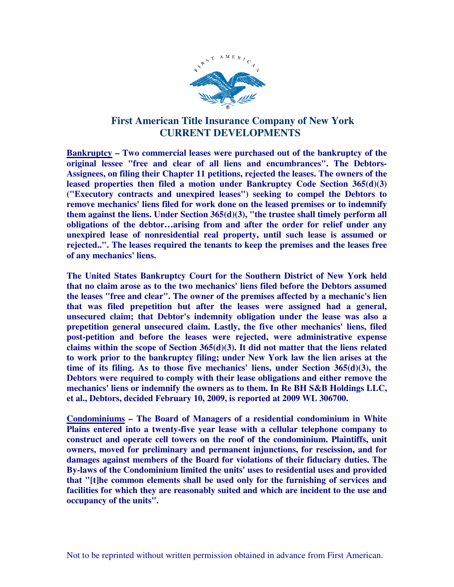

## **First American Title Insurance Company of New York CURRENT DEVELOPMENTS**

**Bankruptcy – Two commercial leases were purchased out of the bankruptcy of the original lessee "free and clear of all liens and encumbrances". The Debtors-Assignees, on filing their Chapter 11 petitions, rejected the leases. The owners of the leased properties then filed a motion under Bankruptcy Code Section 365(d)(3) ("Executory contracts and unexpired leases") seeking to compel the Debtors to remove mechanics' liens filed for work done on the leased premises or to indemnify them against the liens. Under Section 365(d)(3), "the trustee shall timely perform all obligations of the debtor…arising from and after the order for relief under any unexpired lease of nonresidential real property, until such lease is assumed or rejected..". The leases required the tenants to keep the premises and the leases free of any mechanics' liens.** 

**The United States Bankruptcy Court for the Southern District of New York held that no claim arose as to the two mechanics' liens filed before the Debtors assumed the leases "free and clear". The owner of the premises affected by a mechanic's lien that was filed prepetition but after the leases were assigned had a general, unsecured claim; that Debtor's indemnity obligation under the lease was also a prepetition general unsecured claim. Lastly, the five other mechanics' liens, filed post-petition and before the leases were rejected, were administrative expense claims within the scope of Section 365(d)(3). It did not matter that the liens related to work prior to the bankruptcy filing; under New York law the lien arises at the time of its filing. As to those five mechanics' liens, under Section 365(d)(3), the Debtors were required to comply with their lease obligations and either remove the mechanics' liens or indemnify the owners as to them. In Re BH S&B Holdings LLC, et al., Debtors, decided February 10, 2009, is reported at 2009 WL 306700.** 

**Condominiums – The Board of Managers of a residential condominium in White Plains entered into a twenty-five year lease with a cellular telephone company to construct and operate cell towers on the roof of the condominium. Plaintiffs, unit owners, moved for preliminary and permanent injunctions, for rescission, and for damages against members of the Board for violations of their fiduciary duties. The By-laws of the Condominium limited the units' uses to residential uses and provided that "[t]he common elements shall be used only for the furnishing of services and facilities for which they are reasonably suited and which are incident to the use and occupancy of the units".**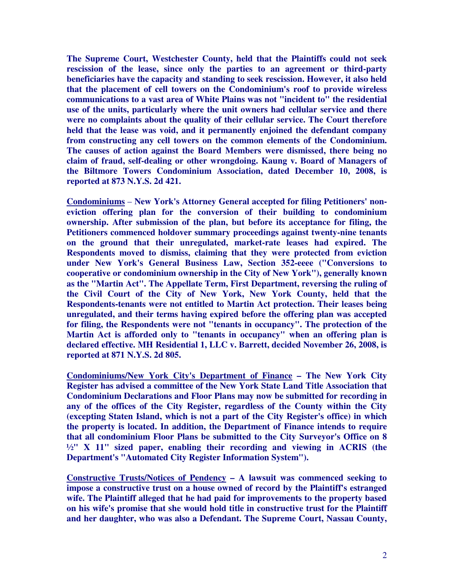**The Supreme Court, Westchester County, held that the Plaintiffs could not seek rescission of the lease, since only the parties to an agreement or third-party beneficiaries have the capacity and standing to seek rescission. However, it also held that the placement of cell towers on the Condominium's roof to provide wireless communications to a vast area of White Plains was not "incident to" the residential use of the units, particularly where the unit owners had cellular service and there were no complaints about the quality of their cellular service. The Court therefore held that the lease was void, and it permanently enjoined the defendant company from constructing any cell towers on the common elements of the Condominium. The causes of action against the Board Members were dismissed, there being no claim of fraud, self-dealing or other wrongdoing. Kaung v. Board of Managers of the Biltmore Towers Condominium Association, dated December 10, 2008, is reported at 873 N.Y.S. 2d 421.** 

**Condominiums** – **New York's Attorney General accepted for filing Petitioners' noneviction offering plan for the conversion of their building to condominium ownership. After submission of the plan, but before its acceptance for filing, the Petitioners commenced holdover summary proceedings against twenty-nine tenants on the ground that their unregulated, market-rate leases had expired. The Respondents moved to dismiss, claiming that they were protected from eviction under New York's General Business Law, Section 352-eeee ("Conversions to cooperative or condominium ownership in the City of New York"), generally known as the "Martin Act". The Appellate Term, First Department, reversing the ruling of the Civil Court of the City of New York, New York County, held that the Respondents-tenants were not entitled to Martin Act protection. Their leases being unregulated, and their terms having expired before the offering plan was accepted for filing, the Respondents were not "tenants in occupancy". The protection of the Martin Act is afforded only to "tenants in occupancy" when an offering plan is declared effective. MH Residential 1, LLC v. Barrett, decided November 26, 2008, is reported at 871 N.Y.S. 2d 805.** 

**Condominiums/New York City's Department of Finance – The New York City Register has advised a committee of the New York State Land Title Association that Condominium Declarations and Floor Plans may now be submitted for recording in any of the offices of the City Register, regardless of the County within the City (excepting Staten Island, which is not a part of the City Register's office) in which the property is located. In addition, the Department of Finance intends to require that all condominium Floor Plans be submitted to the City Surveyor's Office on 8 ½" X 11" sized paper, enabling their recording and viewing in ACRIS (the Department's "Automated City Register Information System").** 

**Constructive Trusts/Notices of Pendency – A lawsuit was commenced seeking to impose a constructive trust on a house owned of record by the Plaintiff's estranged wife. The Plaintiff alleged that he had paid for improvements to the property based on his wife's promise that she would hold title in constructive trust for the Plaintiff and her daughter, who was also a Defendant. The Supreme Court, Nassau County,**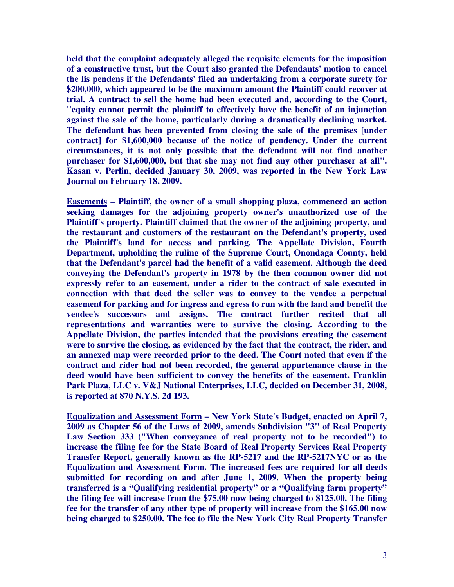**held that the complaint adequately alleged the requisite elements for the imposition of a constructive trust, but the Court also granted the Defendants' motion to cancel the lis pendens if the Defendants' filed an undertaking from a corporate surety for \$200,000, which appeared to be the maximum amount the Plaintiff could recover at trial. A contract to sell the home had been executed and, according to the Court, "equity cannot permit the plaintiff to effectively have the benefit of an injunction against the sale of the home, particularly during a dramatically declining market. The defendant has been prevented from closing the sale of the premises [under contract] for \$1,600,000 because of the notice of pendency. Under the current circumstances, it is not only possible that the defendant will not find another purchaser for \$1,600,000, but that she may not find any other purchaser at all". Kasan v. Perlin, decided January 30, 2009, was reported in the New York Law Journal on February 18, 2009.** 

**Easements – Plaintiff, the owner of a small shopping plaza, commenced an action seeking damages for the adjoining property owner's unauthorized use of the Plaintiff's property. Plaintiff claimed that the owner of the adjoining property, and the restaurant and customers of the restaurant on the Defendant's property, used the Plaintiff's land for access and parking. The Appellate Division, Fourth Department, upholding the ruling of the Supreme Court, Onondaga County, held that the Defendant's parcel had the benefit of a valid easement. Although the deed conveying the Defendant's property in 1978 by the then common owner did not expressly refer to an easement, under a rider to the contract of sale executed in connection with that deed the seller was to convey to the vendee a perpetual easement for parking and for ingress and egress to run with the land and benefit the vendee's successors and assigns. The contract further recited that all representations and warranties were to survive the closing. According to the Appellate Division, the parties intended that the provisions creating the easement were to survive the closing, as evidenced by the fact that the contract, the rider, and an annexed map were recorded prior to the deed. The Court noted that even if the contract and rider had not been recorded, the general appurtenance clause in the deed would have been sufficient to convey the benefits of the easement. Franklin Park Plaza, LLC v. V&J National Enterprises, LLC, decided on December 31, 2008, is reported at 870 N.Y.S. 2d 193.** 

**Equalization and Assessment Form – New York State's Budget, enacted on April 7, 2009 as Chapter 56 of the Laws of 2009, amends Subdivision "3" of Real Property Law Section 333 ("When conveyance of real property not to be recorded") to increase the filing fee for the State Board of Real Property Services Real Property Transfer Report, generally known as the RP-5217 and the RP-5217NYC or as the Equalization and Assessment Form. The increased fees are required for all deeds submitted for recording on and after June 1, 2009. When the property being transferred is a "Qualifying residential property" or a "Qualifying farm property" the filing fee will increase from the \$75.00 now being charged to \$125.00. The filing fee for the transfer of any other type of property will increase from the \$165.00 now being charged to \$250.00. The fee to file the New York City Real Property Transfer**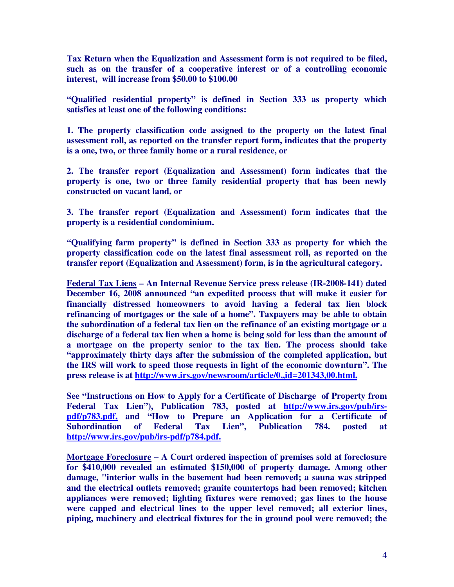**Tax Return when the Equalization and Assessment form is not required to be filed, such as on the transfer of a cooperative interest or of a controlling economic interest, will increase from \$50.00 to \$100.00** 

**"Qualified residential property" is defined in Section 333 as property which satisfies at least one of the following conditions:**

**1. The property classification code assigned to the property on the latest final assessment roll, as reported on the transfer report form, indicates that the property is a one, two, or three family home or a rural residence, or** 

**2. The transfer report (Equalization and Assessment) form indicates that the property is one, two or three family residential property that has been newly constructed on vacant land, or** 

**3. The transfer report (Equalization and Assessment) form indicates that the property is a residential condominium.** 

**"Qualifying farm property" is defined in Section 333 as property for which the property classification code on the latest final assessment roll, as reported on the transfer report (Equalization and Assessment) form, is in the agricultural category.** 

**Federal Tax Liens – An Internal Revenue Service press release (IR-2008-141) dated December 16, 2008 announced "an expedited process that will make it easier for financially distressed homeowners to avoid having a federal tax lien block refinancing of mortgages or the sale of a home". Taxpayers may be able to obtain the subordination of a federal tax lien on the refinance of an existing mortgage or a discharge of a federal tax lien when a home is being sold for less than the amount of a mortgage on the property senior to the tax lien. The process should take "approximately thirty days after the submission of the completed application, but the IRS will work to speed those requests in light of the economic downturn". The press release is at http://www.irs.gov/newsroom/article/0,,id=201343,00.html.** 

**See "Instructions on How to Apply for a Certificate of Discharge of Property from Federal Tax Lien"), Publication 783, posted at http://www.irs.gov/pub/irspdf/p783.pdf, and "How to Prepare an Application for a Certificate of Subordination of Federal Tax Lien", Publication 784. posted at http://www.irs.gov/pub/irs-pdf/p784.pdf.** 

**Mortgage Foreclosure – A Court ordered inspection of premises sold at foreclosure for \$410,000 revealed an estimated \$150,000 of property damage. Among other damage, "interior walls in the basement had been removed; a sauna was stripped and the electrical outlets removed; granite countertops had been removed; kitchen appliances were removed; lighting fixtures were removed; gas lines to the house were capped and electrical lines to the upper level removed; all exterior lines, piping, machinery and electrical fixtures for the in ground pool were removed; the**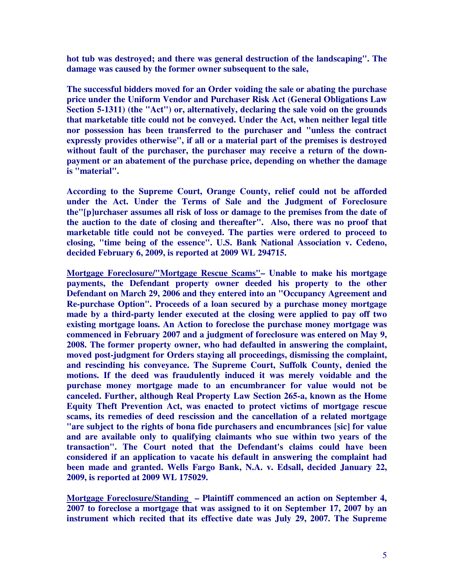**hot tub was destroyed; and there was general destruction of the landscaping". The damage was caused by the former owner subsequent to the sale,** 

**The successful bidders moved for an Order voiding the sale or abating the purchase price under the Uniform Vendor and Purchaser Risk Act (General Obligations Law Section 5-1311) (the "Act") or, alternatively, declaring the sale void on the grounds that marketable title could not be conveyed. Under the Act, when neither legal title nor possession has been transferred to the purchaser and "unless the contract expressly provides otherwise", if all or a material part of the premises is destroyed without fault of the purchaser, the purchaser may receive a return of the downpayment or an abatement of the purchase price, depending on whether the damage is "material".** 

**According to the Supreme Court, Orange County, relief could not be afforded under the Act. Under the Terms of Sale and the Judgment of Foreclosure the"[p]urchaser assumes all risk of loss or damage to the premises from the date of the auction to the date of closing and thereafter". Also, there was no proof that marketable title could not be conveyed. The parties were ordered to proceed to closing, "time being of the essence". U.S. Bank National Association v. Cedeno, decided February 6, 2009, is reported at 2009 WL 294715.** 

**Mortgage Foreclosure/"Mortgage Rescue Scams"– Unable to make his mortgage payments, the Defendant property owner deeded his property to the other Defendant on March 29, 2006 and they entered into an "Occupancy Agreement and Re-purchase Option". Proceeds of a loan secured by a purchase money mortgage made by a third-party lender executed at the closing were applied to pay off two existing mortgage loans. An Action to foreclose the purchase money mortgage was commenced in February 2007 and a judgment of foreclosure was entered on May 9, 2008. The former property owner, who had defaulted in answering the complaint, moved post-judgment for Orders staying all proceedings, dismissing the complaint, and rescinding his conveyance. The Supreme Court, Suffolk County, denied the motions. If the deed was fraudulently induced it was merely voidable and the purchase money mortgage made to an encumbrancer for value would not be canceled. Further, although Real Property Law Section 265-a, known as the Home Equity Theft Prevention Act, was enacted to protect victims of mortgage rescue scams, its remedies of deed rescission and the cancellation of a related mortgage "are subject to the rights of bona fide purchasers and encumbrances [sic] for value and are available only to qualifying claimants who sue within two years of the transaction". The Court noted that the Defendant's claims could have been considered if an application to vacate his default in answering the complaint had been made and granted. Wells Fargo Bank, N.A. v. Edsall, decided January 22, 2009, is reported at 2009 WL 175029.** 

**Mortgage Foreclosure/Standing – Plaintiff commenced an action on September 4, 2007 to foreclose a mortgage that was assigned to it on September 17, 2007 by an instrument which recited that its effective date was July 29, 2007. The Supreme**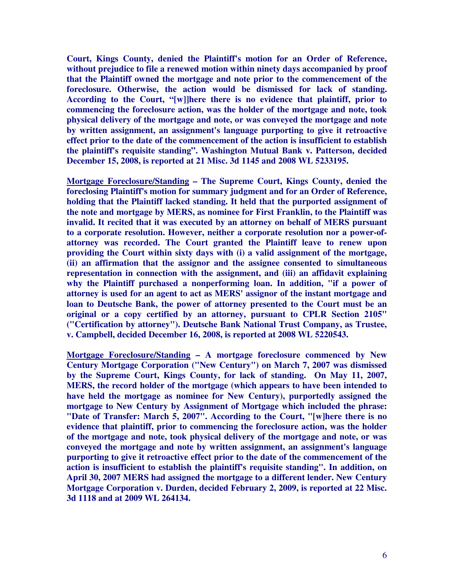**Court, Kings County, denied the Plaintiff's motion for an Order of Reference, without prejudice to file a renewed motion within ninety days accompanied by proof that the Plaintiff owned the mortgage and note prior to the commencement of the foreclosure. Otherwise, the action would be dismissed for lack of standing. According to the Court, "[w]]here there is no evidence that plaintiff, prior to commencing the foreclosure action, was the holder of the mortgage and note, took physical delivery of the mortgage and note, or was conveyed the mortgage and note by written assignment, an assignment's language purporting to give it retroactive effect prior to the date of the commencement of the action is insufficient to establish the plaintiff's requisite standing". Washington Mutual Bank v. Patterson, decided December 15, 2008, is reported at 21 Misc. 3d 1145 and 2008 WL 5233195.** 

**Mortgage Foreclosure/Standing – The Supreme Court, Kings County, denied the foreclosing Plaintiff's motion for summary judgment and for an Order of Reference, holding that the Plaintiff lacked standing. It held that the purported assignment of the note and mortgage by MERS, as nominee for First Franklin, to the Plaintiff was invalid. It recited that it was executed by an attorney on behalf of MERS pursuant to a corporate resolution. However, neither a corporate resolution nor a power-ofattorney was recorded. The Court granted the Plaintiff leave to renew upon providing the Court within sixty days with (i) a valid assignment of the mortgage, (ii) an affirmation that the assignor and the assignee consented to simultaneous representation in connection with the assignment, and (iii) an affidavit explaining why the Plaintiff purchased a nonperforming loan. In addition, "if a power of attorney is used for an agent to act as MERS' assignor of the instant mortgage and loan to Deutsche Bank, the power of attorney presented to the Court must be an original or a copy certified by an attorney, pursuant to CPLR Section 2105" ("Certification by attorney"). Deutsche Bank National Trust Company, as Trustee, v. Campbell, decided December 16, 2008, is reported at 2008 WL 5220543.** 

**Mortgage Foreclosure/Standing – A mortgage foreclosure commenced by New Century Mortgage Corporation ("New Century") on March 7, 2007 was dismissed by the Supreme Court, Kings County, for lack of standing. On May 11, 2007, MERS, the record holder of the mortgage (which appears to have been intended to have held the mortgage as nominee for New Century), purportedly assigned the mortgage to New Century by Assignment of Mortgage which included the phrase: "Date of Transfer: March 5, 2007". According to the Court, "[w]here there is no evidence that plaintiff, prior to commencing the foreclosure action, was the holder of the mortgage and note, took physical delivery of the mortgage and note, or was conveyed the mortgage and note by written assignment, an assignment's language purporting to give it retroactive effect prior to the date of the commencement of the action is insufficient to establish the plaintiff's requisite standing". In addition, on April 30, 2007 MERS had assigned the mortgage to a different lender. New Century Mortgage Corporation v. Durden, decided February 2, 2009, is reported at 22 Misc. 3d 1118 and at 2009 WL 264134.**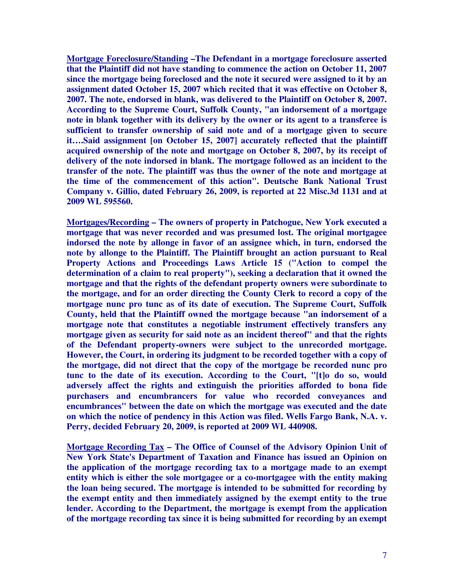**Mortgage Foreclosure/Standing –The Defendant in a mortgage foreclosure asserted that the Plaintiff did not have standing to commence the action on October 11, 2007 since the mortgage being foreclosed and the note it secured were assigned to it by an assignment dated October 15, 2007 which recited that it was effective on October 8, 2007. The note, endorsed in blank, was delivered to the Plaintiff on October 8, 2007. According to the Supreme Court, Suffolk County, "an indorsement of a mortgage note in blank together with its delivery by the owner or its agent to a transferee is sufficient to transfer ownership of said note and of a mortgage given to secure it….Said assignment [on October 15, 2007] accurately reflected that the plaintiff acquired ownership of the note and mortgage on October 8, 2007, by its receipt of delivery of the note indorsed in blank. The mortgage followed as an incident to the transfer of the note. The plaintiff was thus the owner of the note and mortgage at the time of the commencement of this action". Deutsche Bank National Trust Company v. Gillio, dated February 26, 2009, is reported at 22 Misc.3d 1131 and at 2009 WL 595560.** 

**Mortgages/Recording – The owners of property in Patchogue, New York executed a mortgage that was never recorded and was presumed lost. The original mortgagee indorsed the note by allonge in favor of an assignee which, in turn, endorsed the note by allonge to the Plaintiff. The Plaintiff brought an action pursuant to Real Property Actions and Proceedings Laws Article 15 ("Action to compel the determination of a claim to real property"), seeking a declaration that it owned the mortgage and that the rights of the defendant property owners were subordinate to the mortgage, and for an order directing the County Clerk to record a copy of the mortgage nunc pro tunc as of its date of execution. The Supreme Court, Suffolk County, held that the Plaintiff owned the mortgage because "an indorsement of a mortgage note that constitutes a negotiable instrument effectively transfers any mortgage given as security for said note as an incident thereof" and that the rights of the Defendant property-owners were subject to the unrecorded mortgage. However, the Court, in ordering its judgment to be recorded together with a copy of the mortgage, did not direct that the copy of the mortgage be recorded nunc pro tunc to the date of its execution. According to the Court, "[t]o do so, would adversely affect the rights and extinguish the priorities afforded to bona fide purchasers and encumbrancers for value who recorded conveyances and encumbrances" between the date on which the mortgage was executed and the date on which the notice of pendency in this Action was filed. Wells Fargo Bank, N.A. v. Perry, decided February 20, 2009, is reported at 2009 WL 440908.** 

**Mortgage Recording Tax – The Office of Counsel of the Advisory Opinion Unit of New York State's Department of Taxation and Finance has issued an Opinion on the application of the mortgage recording tax to a mortgage made to an exempt entity which is either the sole mortgagee or a co-mortgagee with the entity making the loan being secured. The mortgage is intended to be submitted for recording by the exempt entity and then immediately assigned by the exempt entity to the true lender. According to the Department, the mortgage is exempt from the application of the mortgage recording tax since it is being submitted for recording by an exempt**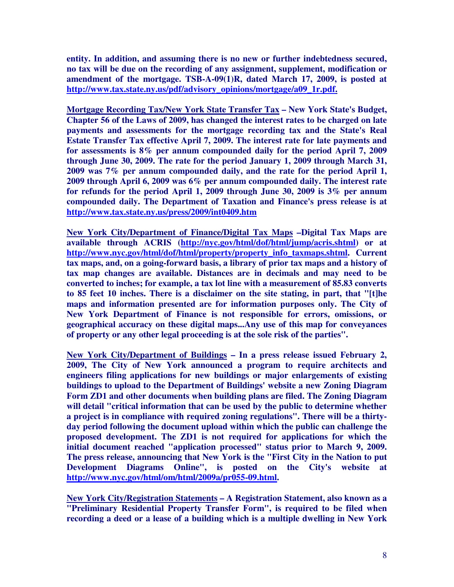**entity. In addition, and assuming there is no new or further indebtedness secured, no tax will be due on the recording of any assignment, supplement, modification or amendment of the mortgage. TSB-A-09(1)R, dated March 17, 2009, is posted at http://www.tax.state.ny.us/pdf/advisory\_opinions/mortgage/a09\_1r.pdf.** 

**Mortgage Recording Tax/New York State Transfer Tax – New York State's Budget, Chapter 56 of the Laws of 2009, has changed the interest rates to be charged on late payments and assessments for the mortgage recording tax and the State's Real Estate Transfer Tax effective April 7, 2009. The interest rate for late payments and for assessments is 8% per annum compounded daily for the period April 7, 2009 through June 30, 2009. The rate for the period January 1, 2009 through March 31, 2009 was 7% per annum compounded daily, and the rate for the period April 1, 2009 through April 6, 2009 was 6% per annum compounded daily. The interest rate for refunds for the period April 1, 2009 through June 30, 2009 is 3% per annum compounded daily. The Department of Taxation and Finance's press release is at http://www.tax.state.ny.us/press/2009/int0409.htm** 

**New York City/Department of Finance/Digital Tax Maps –Digital Tax Maps are available through ACRIS (http://nyc.gov/html/dof/html/jump/acris.shtml) or at http://www.nyc.gov/html/dof/html/property/property\_info\_taxmaps.shtml. Current tax maps, and, on a going-forward basis, a library of prior tax maps and a history of tax map changes are available. Distances are in decimals and may need to be converted to inches; for example, a tax lot line with a measurement of 85.83 converts to 85 feet 10 inches. There is a disclaimer on the site stating, in part, that "[t]he maps and information presented are for information purposes only. The City of New York Department of Finance is not responsible for errors, omissions, or geographical accuracy on these digital maps...Any use of this map for conveyances of property or any other legal proceeding is at the sole risk of the parties".** 

**New York City/Department of Buildings – In a press release issued February 2, 2009, The City of New York announced a program to require architects and engineers filing applications for new buildings or major enlargements of existing buildings to upload to the Department of Buildings' website a new Zoning Diagram Form ZD1 and other documents when building plans are filed. The Zoning Diagram will detail "critical information that can be used by the public to determine whether a project is in compliance with required zoning regulations". There will be a thirtyday period following the document upload within which the public can challenge the proposed development. The ZD1 is not required for applications for which the initial document reached "application processed" status prior to March 9, 2009. The press release, announcing that New York is the "First City in the Nation to put Development Diagrams Online", is posted on the City's website at http://www.nyc.gov/html/om/html/2009a/pr055-09.html.** 

**New York City/Registration Statements – A Registration Statement, also known as a "Preliminary Residential Property Transfer Form", is required to be filed when recording a deed or a lease of a building which is a multiple dwelling in New York**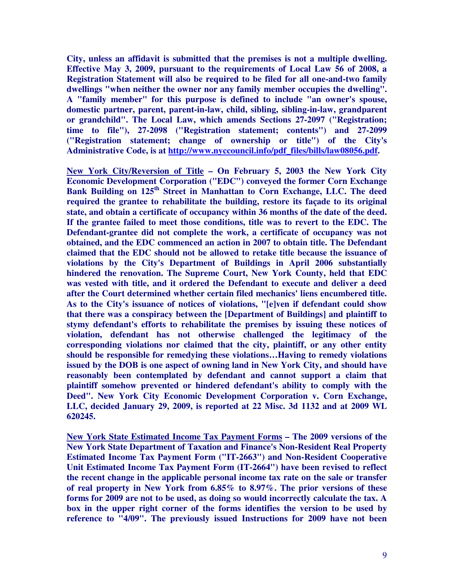**City, unless an affidavit is submitted that the premises is not a multiple dwelling. Effective May 3, 2009, pursuant to the requirements of Local Law 56 of 2008, a Registration Statement will also be required to be filed for all one-and-two family dwellings "when neither the owner nor any family member occupies the dwelling". A "family member" for this purpose is defined to include "an owner's spouse, domestic partner, parent, parent-in-law, child, sibling, sibling-in-law, grandparent or grandchild". The Local Law, which amends Sections 27-2097 ("Registration; time to file"), 27-2098 ("Registration statement; contents") and 27-2099 ("Registration statement; change of ownership or title") of the City's Administrative Code, is at http://www.nyccouncil.info/pdf\_files/bills/law08056.pdf.** 

**New York City/Reversion of Title – On February 5, 2003 the New York City Economic Development Corporation ("EDC") conveyed the former Corn Exchange Bank Building on 125th Street in Manhattan to Corn Exchange, LLC. The deed required the grantee to rehabilitate the building, restore its façade to its original state, and obtain a certificate of occupancy within 36 months of the date of the deed. If the grantee failed to meet those conditions, title was to revert to the EDC. The Defendant-grantee did not complete the work, a certificate of occupancy was not obtained, and the EDC commenced an action in 2007 to obtain title. The Defendant claimed that the EDC should not be allowed to retake title because the issuance of violations by the City's Department of Buildings in April 2006 substantially hindered the renovation. The Supreme Court, New York County, held that EDC was vested with title, and it ordered the Defendant to execute and deliver a deed after the Court determined whether certain filed mechanics' liens encumbered title. As to the City's issuance of notices of violations, "[e]ven if defendant could show that there was a conspiracy between the [Department of Buildings] and plaintiff to stymy defendant's efforts to rehabilitate the premises by issuing these notices of violation, defendant has not otherwise challenged the legitimacy of the corresponding violations nor claimed that the city, plaintiff, or any other entity should be responsible for remedying these violations…Having to remedy violations issued by the DOB is one aspect of owning land in New York City, and should have reasonably been contemplated by defendant and cannot support a claim that plaintiff somehow prevented or hindered defendant's ability to comply with the Deed". New York City Economic Development Corporation v. Corn Exchange, LLC, decided January 29, 2009, is reported at 22 Misc. 3d 1132 and at 2009 WL 620245.** 

**New York State Estimated Income Tax Payment Forms – The 2009 versions of the New York State Department of Taxation and Finance's Non-Resident Real Property Estimated Income Tax Payment Form ("IT-2663") and Non-Resident Cooperative Unit Estimated Income Tax Payment Form (IT-2664") have been revised to reflect the recent change in the applicable personal income tax rate on the sale or transfer of real property in New York from 6.85% to 8.97%. The prior versions of these forms for 2009 are not to be used, as doing so would incorrectly calculate the tax. A box in the upper right corner of the forms identifies the version to be used by reference to "4/09". The previously issued Instructions for 2009 have not been**